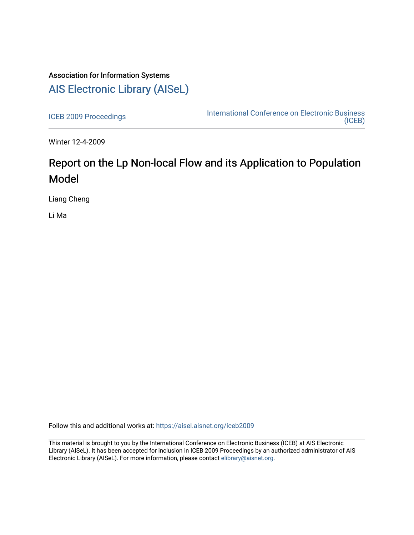# Association for Information Systems [AIS Electronic Library \(AISeL\)](https://aisel.aisnet.org/)

[ICEB 2009 Proceedings](https://aisel.aisnet.org/iceb2009) **International Conference on Electronic Business** [\(ICEB\)](https://aisel.aisnet.org/iceb) 

Winter 12-4-2009

# Report on the Lp Non-local Flow and its Application to Population Model

Liang Cheng

Li Ma

Follow this and additional works at: [https://aisel.aisnet.org/iceb2009](https://aisel.aisnet.org/iceb2009?utm_source=aisel.aisnet.org%2Ficeb2009%2F141&utm_medium=PDF&utm_campaign=PDFCoverPages)

This material is brought to you by the International Conference on Electronic Business (ICEB) at AIS Electronic Library (AISeL). It has been accepted for inclusion in ICEB 2009 Proceedings by an authorized administrator of AIS Electronic Library (AISeL). For more information, please contact [elibrary@aisnet.org.](mailto:elibrary@aisnet.org%3E)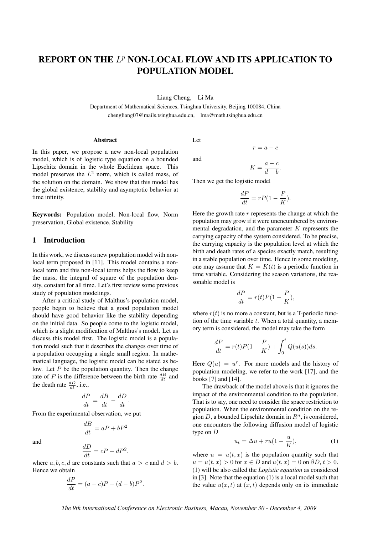# REPORT ON THE  $L^p$  NON-LOCAL FLOW AND ITS APPLICATION TO POPULATION MODEL

Liang Cheng, Li Ma

Department of Mathematical Sciences, Tsinghua University, Beijing 100084, China chengliang07@mails.tsinghua.edu.cn, lma@math.tsinghua.edu.cn

#### Abstract

In this paper, we propose a new non-local population model, which is of logistic type equation on a bounded Lipschitz domain in the whole Euclidean space. This model preserves the  $L^2$  norm, which is called mass, of the solution on the domain. We show that this model has the global existence, stability and asymptotic behavior at time infinity.

Keywords: Population model, Non-local flow, Norm preservation, Global existence, Stability

## 1 Introduction

In this work, we discuss a new population model with nonlocal term proposed in [11]. This model contains a nonlocal term and this non-local terms helps the flow to keep the mass, the integral of square of the population density, constant for all time. Let's first review some previous study of population modelings.

After a critical study of Malthus's population model, people begin to believe that a good population model should have good behavior like the stability depending on the initial data. So people come to the logistic model, which is a slight modification of Malthus's model. Let us discuss this model first. The logistic model is a population model such that it describes the changes over time of a population occupying a single small region. In mathematical language, the logistic model can be stated as below. Let  $P$  be the population quantity. Then the change rate of P is the difference between the birth rate  $\frac{dB}{dt}$  and the death rate  $\frac{dD}{dt}$ , i.e.,

$$
\frac{dP}{dt} = \frac{dB}{dt} - \frac{dD}{dt}.
$$

From the experimental observation, we put

$$
\frac{dB}{dt} = aP + bP^2
$$

and

$$
\frac{dD}{dt} = cP + dP^2.
$$

where a, b, c, d are constants such that  $a > c$  and  $d > b$ . Hence we obtain

$$
\frac{dP}{dt} = (a-c)P - (d-b)P^2.
$$

Let

and

$$
K = \frac{a - c}{d - b}.
$$

 $r = a - c$ 

Then we get the logistic model

$$
\frac{dP}{dt} = rP(1 - \frac{P}{K}).
$$

Here the growth rate  $r$  represents the change at which the population may grow if it were unencumbered by environmental degradation, and the parameter  $K$  represents the carrying capacity of the system considered. To be precise, the carrying capacity is the population level at which the birth and death rates of a species exactly match, resulting in a stable population over time. Hence in some modeling, one may assume that  $K = K(t)$  is a periodic function in time variable. Considering the season variations, the reasonable model is

$$
\frac{dP}{dt} = r(t)P(1 - \frac{P}{K}),
$$

where  $r(t)$  is no more a constant, but is a T-periodic function of the time variable  $t$ . When a total quantity, a memory term is considered, the model may take the form

$$
\frac{dP}{dt} = r(t)P(1 - \frac{P}{K}) + \int_0^t Q(u(s))ds.
$$

Here  $Q(u) = u^r$ . For more models and the history of population modeling, we refer to the work [17], and the books [7] and [14].

The drawback of the model above is that it ignores the impact of the environmental condition to the population. That is to say, one need to consider the space restriction to population. When the environmental condition on the region D, a bounded Lipschitz domain in  $R<sup>n</sup>$ , is considered, one encounters the following diffusion model of logistic type on D

$$
u_t = \Delta u + ru(1 - \frac{u}{K}),\tag{1}
$$

where  $u = u(t, x)$  is the population quantity such that  $u = u(t, x) > 0$  for  $x \in D$  and  $u(t, x) = 0$  on  $\partial D, t > 0$ . (1) will be also called the *Logistic equation* as considered in [3]. Note that the equation (1) is a local model such that the value  $u(x, t)$  at  $(x, t)$  depends only on its immediate

*The 9th International Conference on Electronic Business, Macau, November 30 - December 4, 2009*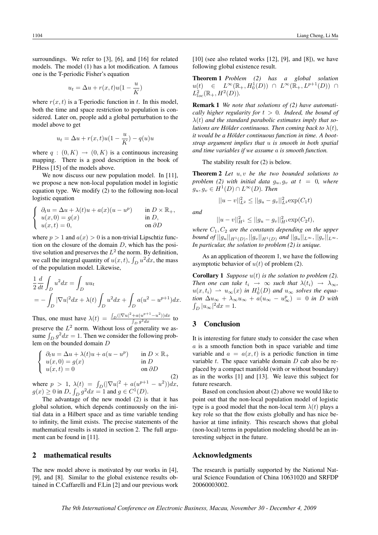surroundings. We refer to [3], [6], and [16] for related models. The model (1) has a lot modification. A famous one is the T-periodic Fisher's equation

$$
u_t = \Delta u + r(x, t)u(1 - \frac{u}{K})
$$

where  $r(x, t)$  is a T-periodic function in t. In this model, both the time and space restriction to population is considered. Later on, people add a global perturbation to the model above to get

$$
u_t = \Delta u + r(x, t)u(1 - \frac{u}{K}) - q(u)u
$$

where  $q : (0, K) \to (0, K)$  is a continuous increasing mapping. There is a good description in the book of P.Hess [15] of the models above.

We now discuss our new population model. In [11], we propose a new non-local population model in logistic equation type. We modify (2) to the following non-local logistic equation

$$
\begin{cases} \n\partial_t u = \Delta u + \lambda(t)u + a(x)(u - u^p) & \text{in } D \times \mathbb{R}_+, \\ \nu(x, 0) = g(x) & \text{in } D, \\ \nu(x, t) = 0, & \text{on } \partial D \n\end{cases}
$$

where  $p > 1$  and  $a(x) > 0$  is a non-trivial Lipschtiz function on the closure of the domain  $D$ , which has the positive solution and preserves the  $L^2$  the norm. By definition, we call the integral quantity of  $u(x, t)$ ,  $\int_D u^2 dx$ , the mass of the population model. Likewise,

$$
\frac{1}{2}\frac{d}{dt}\int_{D}u^{2}dx = \int_{D}uu_{t}
$$
\n
$$
= -\int_{D}|\nabla u|^{2}dx + \lambda(t)\int_{D}u^{2}dx + \int_{D}a(u^{2} - u^{p+1})dx.
$$

Thus, one must have  $\lambda(t) = \frac{\int_D (|\nabla u|^2 + a(u^{p+1}-u^2)) dx}{\int_a^b a^2 dx}$  $\frac{du}{\int_D g^2 dx}$  to preserve the  $L^2$  norm. Without loss of generality we assume  $\int_D g^2 dx = 1$ . Then we consider the following problem on the bounded domain D

$$
\begin{cases}\n\partial_t u = \Delta u + \lambda(t)u + a(u - u^p) & \text{in } D \times \mathbb{R}_+ \\
u(x, 0) = g(x) & \text{in } D \\
u(x, t) = 0 & \text{on } \partial D\n\end{cases}
$$
\n(2)

where  $p > 1$ ,  $\lambda(t) = \int_D (|\nabla u|^2 + a(u^{p+1} - u^2)) dx$ ,  $g(x) \ge 0$  in D,  $\int_D g^2 dx = 1$  and  $g \in C^1(D)$ .

The advantage of the new model (2) is that it has global solution, which depends continuously on the initial data in a Hilbert space and as time variable tending to infinity, the limit exists. The precise statements of the mathematical results is stated in section 2. The full argument can be found in [11].

#### 2 mathematical results

The new model above is motivated by our works in [4], [9], and [8]. Similar to the global existence results obtained in C.Caffarelli and F.Lin [2] and our previous work

 $[10]$  (see also related works  $[12]$ ,  $[9]$ , and  $[8]$ ), we have following global existence result.

Theorem 1 *Problem (2) has a global solution*  $u(t) \in L^{\infty}(\mathbb{R}_{+}, H_0^1(D)) \cap L^{\infty}(\mathbb{R}_{+}, L^{p+1}(D)) \cap$  $L^2_{loc}(\mathbb{R}_+, H^2(D)).$ 

Remark 1 *We note that solutions of (2) have automatically higher regularity for*  $t > 0$ *. Indeed, the bound of* λ(t) *and the standard parabolic estimates imply that solutions are Hölder continuous. Then coming back to*  $\lambda(t)$ *, it would be a Holder continuous function in time. A boot- ¨ strap argument implies that* u *is smooth in both spatial and time variables if we assume* a *is smooth function.*

The stability result for (2) is below.

Theorem 2 *Let* u, v *be the two bounded solutions to problem (2) with initial data*  $g_u, g_v$  *at*  $t = 0$ *, where*  $g_u, g_v \in H^1(D) \cap L^\infty(D)$ *. Then* 

$$
||u - v||_{L^2}^2 \le ||g_u - g_v||_{L^2}^2 \exp(C_1 t)
$$

*and*

$$
||u - v||_{H^1}^2 \le ||g_u - g_v||_{H^1}^2 \exp(C_2 t),
$$

*where*  $C_1$ ,  $C_2$  *are the constants depending on the upper bound of*  $||g_u||_{H^1(D)}, ||g_v||_{H^1(D)}$  and  $||g_u||_{L^{\infty}}, ||g_v||_{L^{\infty}}$ . *In particular, the solution to problem (2) is unique.*

As an application of theorem 1, we have the following asymptotic behavior of  $u(t)$  of problem (2).

**Corollary 1** *Suppose*  $u(t)$  *is the solution to problem (2). Then one can take*  $t_i \rightarrow \infty$  *such that*  $\lambda(t_i) \rightarrow \lambda_{\infty}$ *,*  $u(x, t_i) \rightharpoonup u_{\infty}(x)$  in  $H_0^1(D)$  and  $u_{\infty}$  solves the equa- $\sin \Delta u_{\infty} + \lambda_{\infty} u_{\infty} + a(u_{\infty} - u_{\infty}^p) = 0$  in D with  $\int_D |u_\infty|^2 dx = 1.$ 

## 3 Conclusion

It is interesting for future study to consider the case when a is a smooth function both in space variable and time variable and  $a = a(x, t)$  is a periodic function in time variable  $t$ . The space variable domain  $D$  cab also be replaced by a compact manifold (with or without boundary) as in the works [1] and [13]. We leave this subject for future research.

Based on conclusion about (2) above we would like to point out that the non-local population model of logistic type is a good model that the non-local term  $\lambda(t)$  plays a key role so that the flow exists globally and has nice behavior at time infinity. This research shows that global (non-local) terms in population modeling should be an interesting subject in the future.

#### Acknowledgments

The research is partially supported by the National Natural Science Foundation of China 10631020 and SRFDP 20060003002.